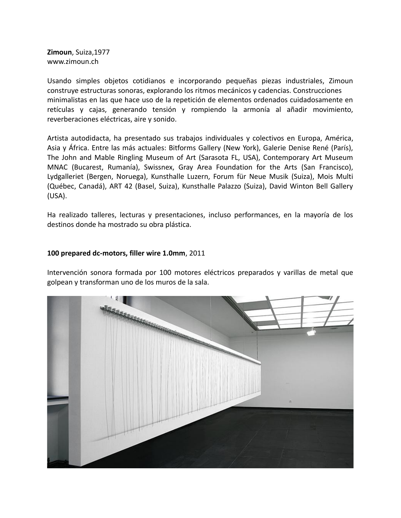**Zimoun**, Suiza,1977 www.zimoun.ch

Usando simples objetos cotidianos e incorporando pequeñas piezas industriales, Zimoun construye estructuras sonoras, explorando los ritmos mecánicos y cadencias. Construcciones minimalistas en las que hace uso de la repetición de elementos ordenados cuidadosamente en retículas y cajas, generando tensión y rompiendo la armonía al añadir movimiento, reverberaciones eléctricas, aire y sonido.

Artista autodidacta, ha presentado sus trabajos individuales y colectivos en Europa, América, Asia y África. Entre las más actuales: Bitforms Gallery (New York), Galerie Denise René (París), The John and Mable Ringling Museum of Art (Sarasota FL, USA), Contemporary Art Museum MNAC (Bucarest, Rumanía), Swissnex, Gray Area Foundation for the Arts (San Francisco), Lydgalleriet (Bergen, Noruega), Kunsthalle Luzern, Forum für Neue Musik (Suiza), Mois Multi (Québec, Canadá), ART 42 (Basel, Suiza), Kunsthalle Palazzo (Suiza), David Winton Bell Gallery (USA).

Ha realizado talleres, lecturas y presentaciones, incluso performances, en la mayoría de los destinos donde ha mostrado su obra plástica.

## **100 prepared dc-motors, filler wire 1.0mm**, 2011

Intervención sonora formada por 100 motores eléctricos preparados y varillas de metal que golpean y transforman uno de los muros de la sala.